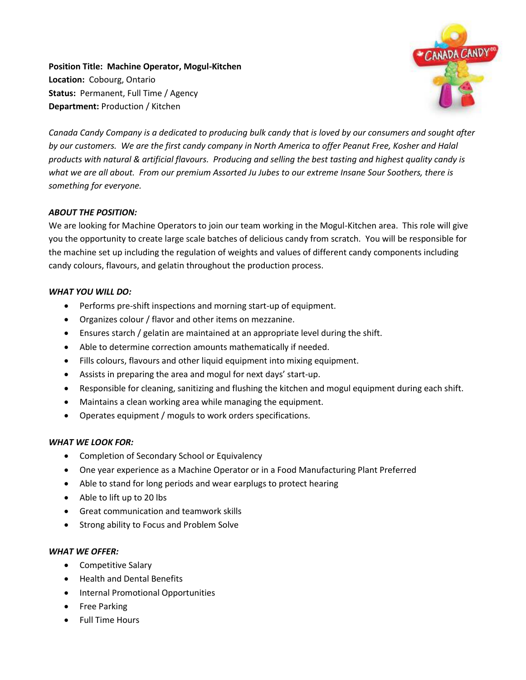**Position Title: Machine Operator, Mogul-Kitchen Location:** Cobourg, Ontario **Status:** Permanent, Full Time / Agency **Department:** Production / Kitchen



*Canada Candy Company is a dedicated to producing bulk candy that is loved by our consumers and sought after by our customers. We are the first candy company in North America to offer Peanut Free, Kosher and Halal products with natural & artificial flavours. Producing and selling the best tasting and highest quality candy is what we are all about. From our premium Assorted Ju Jubes to our extreme Insane Sour Soothers, there is something for everyone.*

## *ABOUT THE POSITION:*

We are looking for Machine Operators to join our team working in the Mogul-Kitchen area. This role will give you the opportunity to create large scale batches of delicious candy from scratch. You will be responsible for the machine set up including the regulation of weights and values of different candy components including candy colours, flavours, and gelatin throughout the production process.

## *WHAT YOU WILL DO:*

- Performs pre-shift inspections and morning start-up of equipment.
- Organizes colour / flavor and other items on mezzanine.
- Ensures starch / gelatin are maintained at an appropriate level during the shift.
- Able to determine correction amounts mathematically if needed.
- Fills colours, flavours and other liquid equipment into mixing equipment.
- Assists in preparing the area and mogul for next days' start-up.
- Responsible for cleaning, sanitizing and flushing the kitchen and mogul equipment during each shift.
- Maintains a clean working area while managing the equipment.
- Operates equipment / moguls to work orders specifications.

## *WHAT WE LOOK FOR:*

- Completion of Secondary School or Equivalency
- One year experience as a Machine Operator or in a Food Manufacturing Plant Preferred
- Able to stand for long periods and wear earplugs to protect hearing
- Able to lift up to 20 lbs
- Great communication and teamwork skills
- Strong ability to Focus and Problem Solve

## *WHAT WE OFFER:*

- Competitive Salary
- Health and Dental Benefits
- Internal Promotional Opportunities
- Free Parking
- Full Time Hours